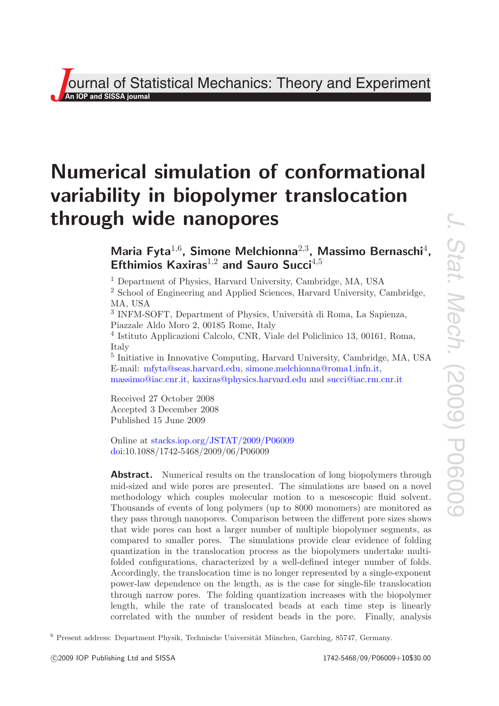**J**<br>**An IOP and SISSA journal**<br>*An* **IOP and SISSA journal** Theory and Experiment

# **Numerical simulation of conformational variability in biopolymer translocation through wide nanopores**

# **Maria Fyta**<sup>1</sup>,<sup>6</sup>**, Simone Melchionna**<sup>2</sup>,<sup>3</sup>**, Massimo Bernaschi**<sup>4</sup>**, Efthimios Kaxiras**<sup>1</sup>,<sup>2</sup> **and Sauro Succi**<sup>4</sup>,<sup>5</sup>

<sup>1</sup> Department of Physics, Harvard University, Cambridge, MA, USA

<sup>2</sup> School of Engineering and Applied Sciences, Harvard University, Cambridge, MA, USA

<sup>3</sup> INFM-SOFT, Department of Physics, Università di Roma, La Sapienza, Piazzale Aldo Moro 2, 00185 Rome, Italy

<sup>4</sup> Istituto Applicazioni Calcolo, CNR, Viale del Policlinico 13, 00161, Roma, Italy

<sup>5</sup> Initiative in Innovative Computing, Harvard University, Cambridge, MA, USA E-mail: [mfyta@seas.harvard.edu,](mailto:mfyta@seas.harvard.edu) [simone.melchionna@roma1.infn.it,](mailto:simone.melchionna@roma1.infn.it) [massimo@iac.cnr.it,](mailto:massimo@iac.cnr.it) [kaxiras@physics.harvard.edu](mailto:kaxiras@physics.harvard.edu) and [succi@iac.rm.cnr.it](mailto:succi@iac.rm.cnr.it)

Received 27 October 2008 Accepted 3 December 2008 Published 15 June 2009

Online at [stacks.iop.org/JSTAT/2009/P06009](http://stacks.iop.org/JSTAT/2009/P06009) [doi:](http://dx.doi.org/10.1088/1742-5468/2009/06/P06009)10.1088/1742-5468/2009/06/P06009

Abstract. Numerical results on the translocation of long biopolymers through mid-sized and wide pores are presented. The simulations are based on a novel methodology which couples molecular motion to a mesoscopic fluid solvent. Thousands of events of long polymers (up to 8000 monomers) are monitored as they pass through nanopores. Comparison between the different pore sizes shows that wide pores can host a larger number of multiple biopolymer segments, as compared to smaller pores. The simulations provide clear evidence of folding quantization in the translocation process as the biopolymers undertake multifolded configurations, characterized by a well-defined integer number of folds. Accordingly, the translocation time is no longer represented by a single-exponent power-law dependence on the length, as is the case for single-file translocation through narrow pores. The folding quantization increases with the biopolymer length, while the rate of translocated beads at each time step is linearly correlated with the number of resident beads in the pore. Finally, analysis

 $6$  Present address: Department Physik, Technische Universität München, Garching, 85747, Germany.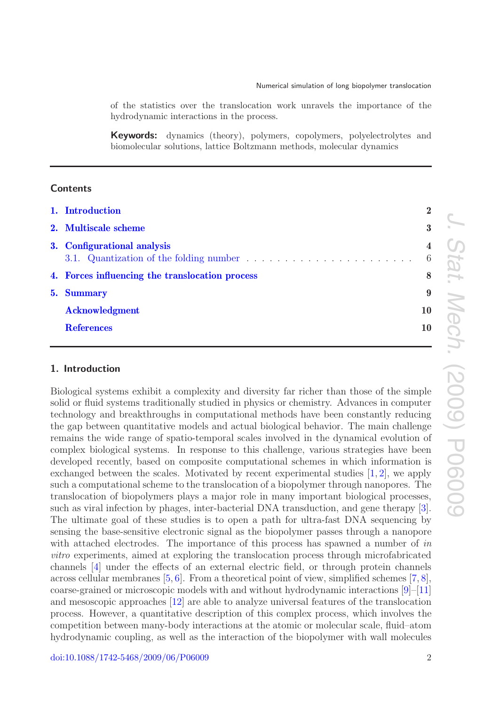of the statistics over the translocation work unravels the importance of the hydrodynamic interactions in the process.

**Keywords:** dynamics (theory), polymers, copolymers, polyelectrolytes and biomolecular solutions, lattice Boltzmann methods, molecular dynamics

# **Contents**

|  | 1. Introduction                                 | $\overline{2}$      |
|--|-------------------------------------------------|---------------------|
|  | 2. Multiscale scheme                            | $3\phantom{.0}$     |
|  | 3. Configurational analysis                     | $\overline{4}$<br>6 |
|  | 4. Forces influencing the translocation process | 8                   |
|  | 5. Summary                                      | 9                   |
|  | <b>Acknowledgment</b>                           | 10                  |
|  | <b>References</b>                               | 10                  |
|  |                                                 |                     |

# <span id="page-1-0"></span>**1. Introduction**

Biological systems exhibit a complexity and diversity far richer than those of the simple solid or fluid systems traditionally studied in physics or chemistry. Advances in computer technology and breakthroughs in computational methods have been constantly reducing the gap between quantitative models and actual biological behavior. The main challenge remains the wide range of spatio-temporal scales involved in the dynamical evolution of complex biological systems. In response to this challenge, various strategies have been developed recently, based on composite computational schemes in which information is exchanged between the scales. Motivated by recent experimental studies  $[1, 2]$  $[1, 2]$  $[1, 2]$ , we apply such a computational scheme to the translocation of a biopolymer through nanopores. The translocation of biopolymers plays a major role in many important biological processes, such as viral infection by phages, inter-bacterial DNA transduction, and gene therapy [\[3\]](#page-9-5). The ultimate goal of these studies is to open a path for ultra-fast DNA sequencing by sensing the base-sensitive electronic signal as the biopolymer passes through a nanopore with attached electrodes. The importance of this process has spawned a number of in vitro experiments, aimed at exploring the translocation process through microfabricated channels [\[4\]](#page-9-6) under the effects of an external electric field, or through protein channels across cellular membranes  $[5, 6]$  $[5, 6]$  $[5, 6]$ . From a theoretical point of view, simplified schemes  $[7, 8]$  $[7, 8]$  $[7, 8]$ , coarse-grained or microscopic models with and without hydrodynamic interactions  $|9|$ –[\[11\]](#page-9-12) and mesoscopic approaches [\[12\]](#page-9-13) are able to analyze universal features of the translocation process. However, a quantitative description of this complex process, which involves the competition between many-body interactions at the atomic or molecular scale, fluid–atom hydrodynamic coupling, as well as the interaction of the biopolymer with wall molecules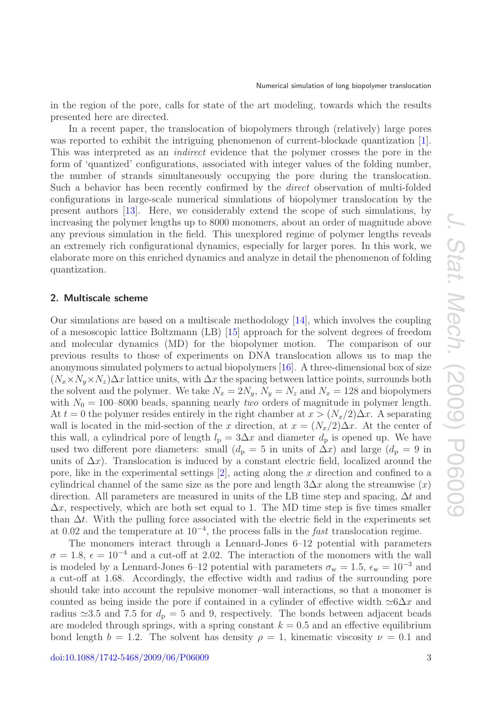in the region of the pore, calls for state of the art modeling, towards which the results presented here are directed.

In a recent paper, the translocation of biopolymers through (relatively) large pores was reported to exhibit the intriguing phenomenon of current-blockade quantization [\[1\]](#page-9-3). This was interpreted as an indirect evidence that the polymer crosses the pore in the form of 'quantized' configurations, associated with integer values of the folding number, the number of strands simultaneously occupying the pore during the translocation. Such a behavior has been recently confirmed by the direct observation of multi-folded configurations in large-scale numerical simulations of biopolymer translocation by the present authors [\[13\]](#page-9-14). Here, we considerably extend the scope of such simulations, by increasing the polymer lengths up to 8000 monomers, about an order of magnitude above any previous simulation in the field. This unexplored regime of polymer lengths reveals an extremely rich configurational dynamics, especially for larger pores. In this work, we elaborate more on this enriched dynamics and analyze in detail the phenomenon of folding quantization.

#### <span id="page-2-0"></span>**2. Multiscale scheme**

Our simulations are based on a multiscale methodology [\[14\]](#page-9-15), which involves the coupling of a mesoscopic lattice Boltzmann (LB) [\[15\]](#page-9-16) approach for the solvent degrees of freedom and molecular dynamics (MD) for the biopolymer motion. The comparison of our previous results to those of experiments on DNA translocation allows us to map the anonymous simulated polymers to actual biopolymers [\[16\]](#page-9-17). A three-dimensional box of size  $(N_x \times N_y \times N_z) \Delta x$  lattice units, with  $\Delta x$  the spacing between lattice points, surrounds both the solvent and the polymer. We take  $N_x = 2N_y$ ,  $N_y = N_z$  and  $N_x = 128$  and biopolymers with  $N_0 = 100-8000$  beads, spanning nearly *two* orders of magnitude in polymer length. At  $t = 0$  the polymer resides entirely in the right chamber at  $x > (N_x/2)\Delta x$ . A separating wall is located in the mid-section of the x direction, at  $x = (N_x/2)\Delta x$ . At the center of this wall, a cylindrical pore of length  $l_p = 3\Delta x$  and diameter  $d_p$  is opened up. We have used two different pore diameters: small  $(d_p = 5$  in units of  $\Delta x$ ) and large  $(d_p = 9$  in units of  $\Delta x$ ). Translocation is induced by a constant electric field, localized around the pore, like in the experimental settings  $[2]$ , acting along the x direction and confined to a cylindrical channel of the same size as the pore and length  $3\Delta x$  along the streamwise  $(x)$ direction. All parameters are measured in units of the LB time step and spacing,  $\Delta t$  and  $\Delta x$ , respectively, which are both set equal to 1. The MD time step is five times smaller than  $\Delta t$ . With the pulling force associated with the electric field in the experiments set at 0.02 and the temperature at  $10^{-4}$ , the process falls in the *fast* translocation regime.

The monomers interact through a Lennard-Jones 6–12 potential with parameters  $\sigma = 1.8, \epsilon = 10^{-4}$  and a cut-off at 2.02. The interaction of the monomers with the wall is modeled by a Lennard-Jones 6–12 potential with parameters  $\sigma_w = 1.5$ ,  $\epsilon_w = 10^{-3}$  and a cut-off at 1.68. Accordingly, the effective width and radius of the surrounding pore should take into account the repulsive monomer–wall interactions, so that a monomer is counted as being inside the pore if contained in a cylinder of effective width  $\approx 6\Delta x$  and radius  $\approx 3.5$  and 7.5 for  $d_p = 5$  and 9, respectively. The bonds between adjacent beads are modeled through springs, with a spring constant  $k = 0.5$  and an effective equilibrium bond length  $b = 1.2$ . The solvent has density  $\rho = 1$ , kinematic viscosity  $\nu = 0.1$  and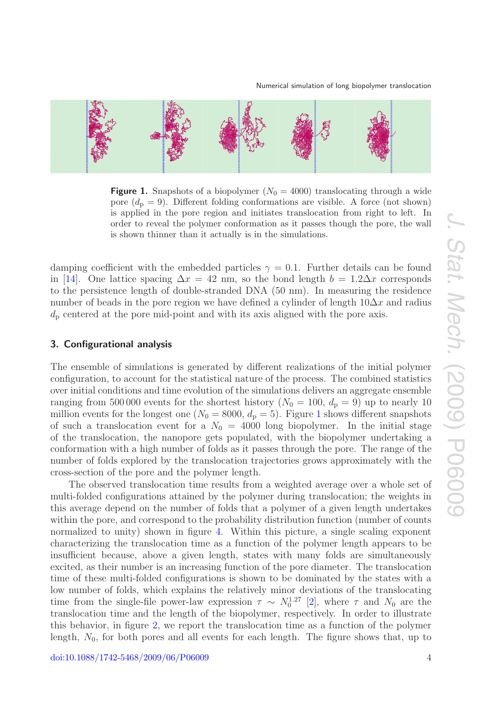

<span id="page-3-1"></span>

**Figure 1.** Snapshots of a biopolymer  $(N_0 = 4000)$  translocating through a wide pore  $(d_p = 9)$ . Different folding conformations are visible. A force (not shown) is applied in the pore region and initiates translocation from right to left. In order to reveal the polymer conformation as it passes though the pore, the wall is shown thinner than it actually is in the simulations.

damping coefficient with the embedded particles  $\gamma = 0.1$ . Further details can be found in [\[14\]](#page-9-15). One lattice spacing  $\Delta x = 42$  nm, so the bond length  $b = 1.2 \Delta x$  corresponds to the persistence length of double-stranded DNA (50 nm). In measuring the residence number of beads in the pore region we have defined a cylinder of length  $10\Delta x$  and radius  $d<sub>p</sub>$  centered at the pore mid-point and with its axis aligned with the pore axis.

# <span id="page-3-0"></span>**3. Configurational analysis**

The ensemble of simulations is generated by different realizations of the initial polymer configuration, to account for the statistical nature of the process. The combined statistics over initial conditions and time evolution of the simulations delivers an aggregate ensemble ranging from 500000 events for the shortest history ( $N_0 = 100$ ,  $d_p = 9$ ) up to nearly 10 million events for the longest one ( $N_0 = 8000$ ,  $d_p = 5$ ). Figure [1](#page-3-1) shows different snapshots of such a translocation event for a  $N_0 = 4000$  long biopolymer. In the initial stage of the translocation, the nanopore gets populated, with the biopolymer undertaking a conformation with a high number of folds as it passes through the pore. The range of the number of folds explored by the translocation trajectories grows approximately with the cross-section of the pore and the polymer length.

The observed translocation time results from a weighted average over a whole set of multi-folded configurations attained by the polymer during translocation; the weights in this average depend on the number of folds that a polymer of a given length undertakes within the pore, and correspond to the probability distribution function (number of counts normalized to unity) shown in figure [4.](#page-6-0) Within this picture, a single scaling exponent characterizing the translocation time as a function of the polymer length appears to be insufficient because, above a given length, states with many folds are simultaneously excited, as their number is an increasing function of the pore diameter. The translocation time of these multi-folded configurations is shown to be dominated by the states with a low number of folds, which explains the relatively minor deviations of the translocating time from the single-file power-law expression  $\tau \sim N_0^{1.27}$  [\[2\]](#page-9-4), where  $\tau$  and  $N_0$  are the translocation time and the length of the biopolymer, respectively. In order to illustrate this behavior, in figure [2,](#page-4-0) we report the translocation time as a function of the polymer length,  $N_0$ , for both pores and all events for each length. The figure shows that, up to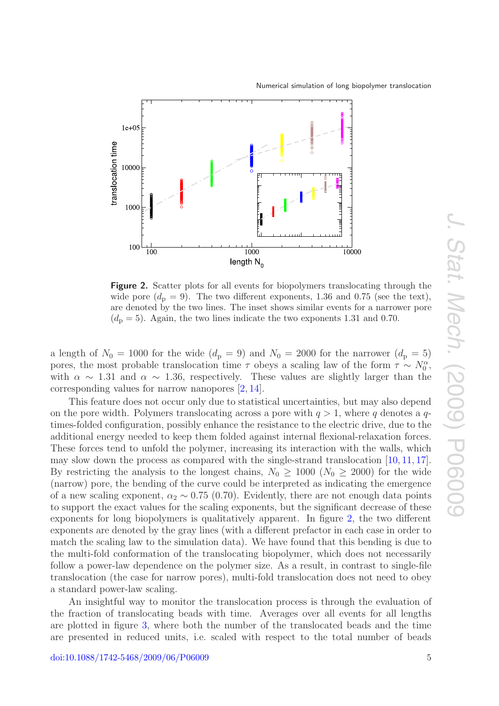

<span id="page-4-0"></span>

**Figure 2.** Scatter plots for all events for biopolymers translocating through the wide pore  $(d_p = 9)$ . The two different exponents, 1.36 and 0.75 (see the text), are denoted by the two lines. The inset shows similar events for a narrower pore  $(d_{\rm p} = 5)$ . Again, the two lines indicate the two exponents 1.31 and 0.70.

a length of  $N_0 = 1000$  for the wide  $(d_p = 9)$  and  $N_0 = 2000$  for the narrower  $(d_p = 5)$ pores, the most probable translocation time  $\tau$  obeys a scaling law of the form  $\tau \sim N_0^{\alpha}$ , with  $\alpha \sim 1.31$  and  $\alpha \sim 1.36$ , respectively. These values are slightly larger than the corresponding values for narrow nanopores [\[2,](#page-9-4) [14\]](#page-9-15).

This feature does not occur only due to statistical uncertainties, but may also depend on the pore width. Polymers translocating across a pore with  $q > 1$ , where q denotes a qtimes-folded configuration, possibly enhance the resistance to the electric drive, due to the additional energy needed to keep them folded against internal flexional-relaxation forces. These forces tend to unfold the polymer, increasing its interaction with the walls, which may slow down the process as compared with the single-strand translocation [\[10,](#page-9-18) [11,](#page-9-12) [17\]](#page-9-19). By restricting the analysis to the longest chains,  $N_0 \ge 1000$  ( $N_0 \ge 2000$ ) for the wide (narrow) pore, the bending of the curve could be interpreted as indicating the emergence of a new scaling exponent,  $\alpha_2 \sim 0.75$  (0.70). Evidently, there are not enough data points to support the exact values for the scaling exponents, but the significant decrease of these exponents for long biopolymers is qualitatively apparent. In figure [2,](#page-4-0) the two different exponents are denoted by the gray lines (with a different prefactor in each case in order to match the scaling law to the simulation data). We have found that this bending is due to the multi-fold conformation of the translocating biopolymer, which does not necessarily follow a power-law dependence on the polymer size. As a result, in contrast to single-file translocation (the case for narrow pores), multi-fold translocation does not need to obey a standard power-law scaling.

An insightful way to monitor the translocation process is through the evaluation of the fraction of translocating beads with time. Averages over all events for all lengths are plotted in figure [3,](#page-5-1) where both the number of the translocated beads and the time are presented in reduced units, i.e. scaled with respect to the total number of beads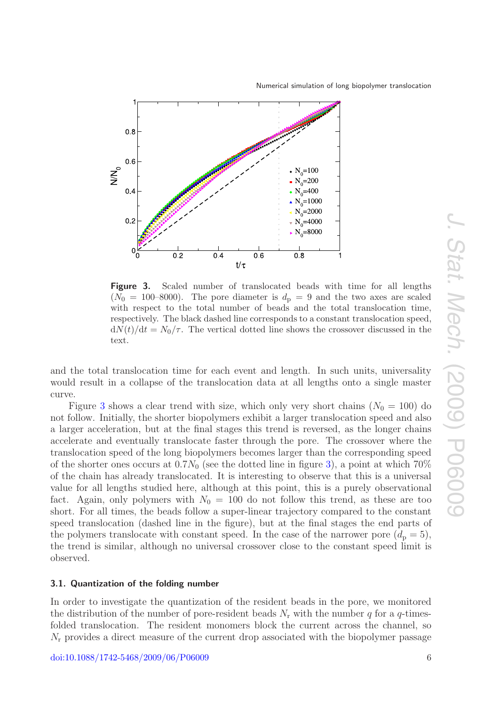

<span id="page-5-1"></span>

**Figure 3.** Scaled number of translocated beads with time for all lengths  $(N_0 = 100-8000)$ . The pore diameter is  $d_p = 9$  and the two axes are scaled with respect to the total number of beads and the total translocation time, respectively. The black dashed line corresponds to a constant translocation speed,  $dN(t)/dt = N_0/\tau$ . The vertical dotted line shows the crossover discussed in the text.

and the total translocation time for each event and length. In such units, universality would result in a collapse of the translocation data at all lengths onto a single master curve.

Figure [3](#page-5-1) shows a clear trend with size, which only very short chains  $(N_0 = 100)$  do not follow. Initially, the shorter biopolymers exhibit a larger translocation speed and also a larger acceleration, but at the final stages this trend is reversed, as the longer chains accelerate and eventually translocate faster through the pore. The crossover where the translocation speed of the long biopolymers becomes larger than the corresponding speed of the shorter ones occurs at  $0.7N_0$  (see the dotted line in figure [3\)](#page-5-1), a point at which  $70\%$ of the chain has already translocated. It is interesting to observe that this is a universal value for all lengths studied here, although at this point, this is a purely observational fact. Again, only polymers with  $N_0 = 100$  do not follow this trend, as these are too short. For all times, the beads follow a super-linear trajectory compared to the constant speed translocation (dashed line in the figure), but at the final stages the end parts of the polymers translocate with constant speed. In the case of the narrower pore  $(d_p = 5)$ , the trend is similar, although no universal crossover close to the constant speed limit is observed.

#### <span id="page-5-0"></span>**3.1. Quantization of the folding number**

In order to investigate the quantization of the resident beads in the pore, we monitored the distribution of the number of pore-resident beads  $N_r$  with the number q for a q-timesfolded translocation. The resident monomers block the current across the channel, so  $N_{\rm r}$  provides a direct measure of the current drop associated with the biopolymer passage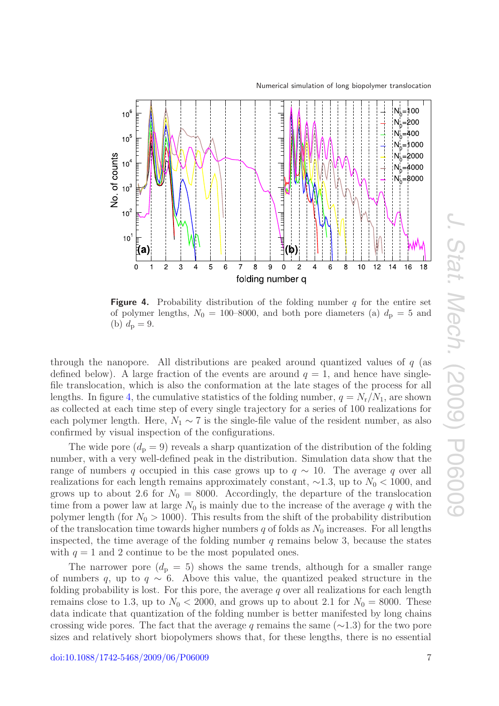Numerical simulation of long biopolymer translocation

<span id="page-6-0"></span>

**Figure 4.** Probability distribution of the folding number q for the entire set of polymer lengths,  $N_0 = 100-8000$ , and both pore diameters (a)  $d_p = 5$  and (b)  $d_{\rm p} = 9$ .

through the nanopore. All distributions are peaked around quantized values of q (as defined below). A large fraction of the events are around  $q = 1$ , and hence have singlefile translocation, which is also the conformation at the late stages of the process for all lengths. In figure [4,](#page-6-0) the cumulative statistics of the folding number,  $q = N_r/N_1$ , are shown as collected at each time step of every single trajectory for a series of 100 realizations for each polymer length. Here,  $N_1 \sim 7$  is the single-file value of the resident number, as also confirmed by visual inspection of the configurations.

The wide pore  $(d_p = 9)$  reveals a sharp quantization of the distribution of the folding number, with a very well-defined peak in the distribution. Simulation data show that the range of numbers q occupied in this case grows up to  $q \sim 10$ . The average q over all realizations for each length remains approximately constant,  $\sim$ 1.3, up to  $N_0$  < 1000, and grows up to about 2.6 for  $N_0 = 8000$ . Accordingly, the departure of the translocation time from a power law at large  $N_0$  is mainly due to the increase of the average q with the polymer length (for  $N_0 > 1000$ ). This results from the shift of the probability distribution of the translocation time towards higher numbers  $q$  of folds as  $N_0$  increases. For all lengths inspected, the time average of the folding number  $q$  remains below 3, because the states with  $q = 1$  and 2 continue to be the most populated ones.

The narrower pore  $(d_{\rm p} = 5)$  shows the same trends, although for a smaller range of numbers q, up to  $q \sim 6$ . Above this value, the quantized peaked structure in the folding probability is lost. For this pore, the average  $q$  over all realizations for each length remains close to 1.3, up to  $N_0 < 2000$ , and grows up to about 2.1 for  $N_0 = 8000$ . These data indicate that quantization of the folding number is better manifested by long chains crossing wide pores. The fact that the average q remains the same ( $\sim$ 1.3) for the two pore sizes and relatively short biopolymers shows that, for these lengths, there is no essential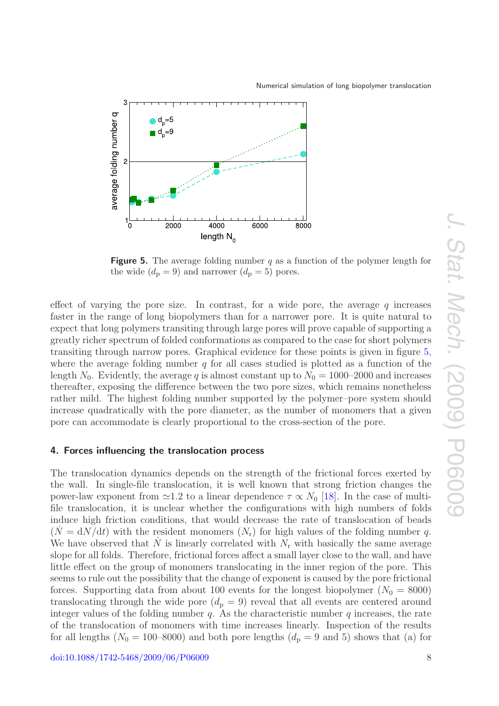<span id="page-7-1"></span>

Numerical simulation of long biopolymer translocation

**Figure 5.** The average folding number q as a function of the polymer length for the wide  $(d_p = 9)$  and narrower  $(d_p = 5)$  pores.

effect of varying the pore size. In contrast, for a wide pore, the average  $q$  increases faster in the range of long biopolymers than for a narrower pore. It is quite natural to expect that long polymers transiting through large pores will prove capable of supporting a greatly richer spectrum of folded conformations as compared to the case for short polymers transiting through narrow pores. Graphical evidence for these points is given in figure [5,](#page-7-1) where the average folding number  $q$  for all cases studied is plotted as a function of the length  $N_0$ . Evidently, the average q is almost constant up to  $N_0 = 1000-2000$  and increases thereafter, exposing the difference between the two pore sizes, which remains nonetheless rather mild. The highest folding number supported by the polymer–pore system should increase quadratically with the pore diameter, as the number of monomers that a given pore can accommodate is clearly proportional to the cross-section of the pore.

#### <span id="page-7-0"></span>**4. Forces influencing the translocation process**

The translocation dynamics depends on the strength of the frictional forces exerted by the wall. In single-file translocation, it is well known that strong friction changes the power-law exponent from  $\simeq$ 1.2 to a linear dependence  $\tau \propto N_0$  [\[18\]](#page-9-20). In the case of multifile translocation, it is unclear whether the configurations with high numbers of folds induce high friction conditions, that would decrease the rate of translocation of beads  $(N = dN/dt)$  with the resident monomers  $(N_r)$  for high values of the folding number q. We have observed that N is linearly correlated with  $N_r$  with basically the same average slope for all folds. Therefore, frictional forces affect a small layer close to the wall, and have little effect on the group of monomers translocating in the inner region of the pore. This seems to rule out the possibility that the change of exponent is caused by the pore frictional forces. Supporting data from about 100 events for the longest biopolymer ( $N_0 = 8000$ ) translocating through the wide pore  $(d_p = 9)$  reveal that all events are centered around integer values of the folding number q. As the characteristic number q increases, the rate of the translocation of monomers with time increases linearly. Inspection of the results for all lengths ( $N_0 = 100-8000$ ) and both pore lengths ( $d_p = 9$  and 5) shows that (a) for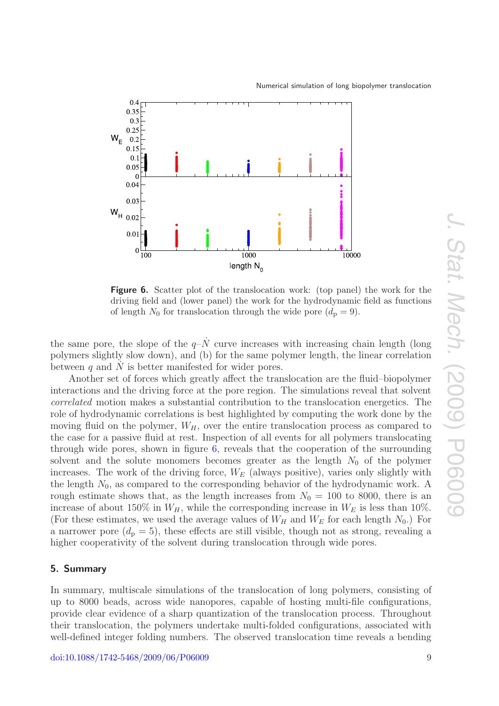<span id="page-8-1"></span>

Numerical simulation of long biopolymer translocation

**Figure 6.** Scatter plot of the translocation work: (top panel) the work for the driving field and (lower panel) the work for the hydrodynamic field as functions of length  $N_0$  for translocation through the wide pore  $(d_p = 9)$ .

the same pore, the slope of the  $q-\dot{N}$  curve increases with increasing chain length (long polymers slightly slow down), and (b) for the same polymer length, the linear correlation between  $q$  and  $N$  is better manifested for wider pores.

Another set of forces which greatly affect the translocation are the fluid–biopolymer interactions and the driving force at the pore region. The simulations reveal that solvent correlated motion makes a substantial contribution to the translocation energetics. The role of hydrodynamic correlations is best highlighted by computing the work done by the moving fluid on the polymer,  $W_H$ , over the entire translocation process as compared to the case for a passive fluid at rest. Inspection of all events for all polymers translocating through wide pores, shown in figure [6,](#page-8-1) reveals that the cooperation of the surrounding solvent and the solute monomers becomes greater as the length  $N_0$  of the polymer increases. The work of the driving force,  $W_E$  (always positive), varies only slightly with the length  $N_0$ , as compared to the corresponding behavior of the hydrodynamic work. A rough estimate shows that, as the length increases from  $N_0 = 100$  to 8000, there is an increase of about 150% in  $W_H$ , while the corresponding increase in  $W_E$  is less than 10%. (For these estimates, we used the average values of  $W_H$  and  $W_E$  for each length  $N_0$ .) For a narrower pore  $(d_p = 5)$ , these effects are still visible, though not as strong, revealing a higher cooperativity of the solvent during translocation through wide pores.

#### <span id="page-8-0"></span>**5. Summary**

In summary, multiscale simulations of the translocation of long polymers, consisting of up to 8000 beads, across wide nanopores, capable of hosting multi-file configurations, provide clear evidence of a sharp quantization of the translocation process. Throughout their translocation, the polymers undertake multi-folded configurations, associated with well-defined integer folding numbers. The observed translocation time reveals a bending